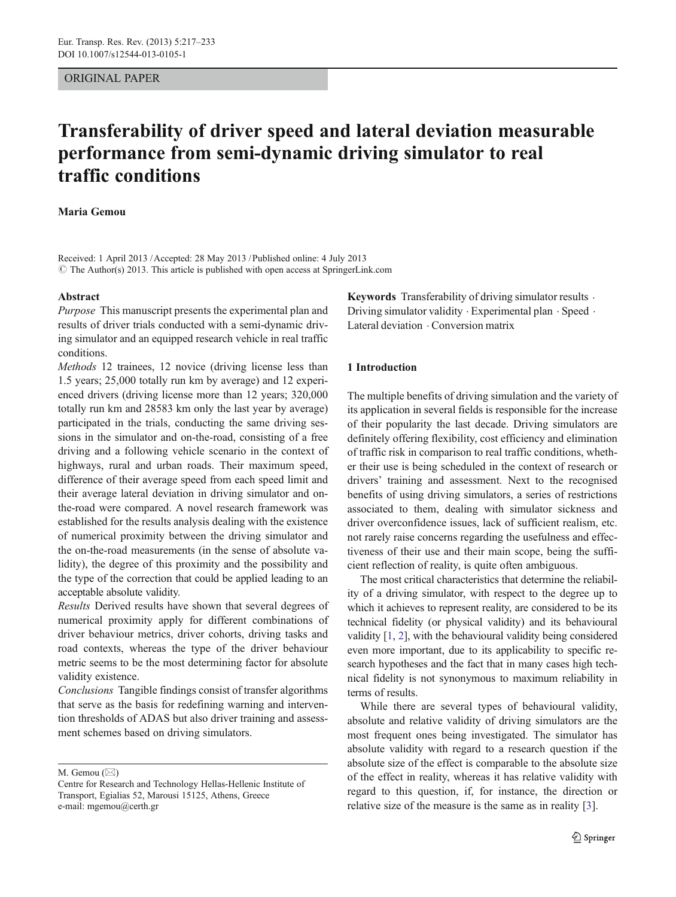# ORIGINAL PAPER

# Transferability of driver speed and lateral deviation measurable performance from semi-dynamic driving simulator to real traffic conditions

# Maria Gemou

Received: 1 April 2013 /Accepted: 28 May 2013 / Published online: 4 July 2013  $\odot$  The Author(s) 2013. This article is published with open access at SpringerLink.com

# Abstract

Purpose This manuscript presents the experimental plan and results of driver trials conducted with a semi-dynamic driving simulator and an equipped research vehicle in real traffic conditions.

Methods 12 trainees, 12 novice (driving license less than 1.5 years; 25,000 totally run km by average) and 12 experienced drivers (driving license more than 12 years; 320,000 totally run km and 28583 km only the last year by average) participated in the trials, conducting the same driving sessions in the simulator and on-the-road, consisting of a free driving and a following vehicle scenario in the context of highways, rural and urban roads. Their maximum speed, difference of their average speed from each speed limit and their average lateral deviation in driving simulator and onthe-road were compared. A novel research framework was established for the results analysis dealing with the existence of numerical proximity between the driving simulator and the on-the-road measurements (in the sense of absolute validity), the degree of this proximity and the possibility and the type of the correction that could be applied leading to an acceptable absolute validity.

Results Derived results have shown that several degrees of numerical proximity apply for different combinations of driver behaviour metrics, driver cohorts, driving tasks and road contexts, whereas the type of the driver behaviour metric seems to be the most determining factor for absolute validity existence.

Conclusions Tangible findings consist of transfer algorithms that serve as the basis for redefining warning and intervention thresholds of ADAS but also driver training and assessment schemes based on driving simulators.

M. Gemou  $(\boxtimes)$ 

Keywords Transferability of driving simulator results . Driving simulator validity  $\cdot$  Experimental plan  $\cdot$  Speed  $\cdot$ Lateral deviation . Conversion matrix

## 1 Introduction

The multiple benefits of driving simulation and the variety of its application in several fields is responsible for the increase of their popularity the last decade. Driving simulators are definitely offering flexibility, cost efficiency and elimination of traffic risk in comparison to real traffic conditions, whether their use is being scheduled in the context of research or drivers' training and assessment. Next to the recognised benefits of using driving simulators, a series of restrictions associated to them, dealing with simulator sickness and driver overconfidence issues, lack of sufficient realism, etc. not rarely raise concerns regarding the usefulness and effectiveness of their use and their main scope, being the sufficient reflection of reality, is quite often ambiguous.

The most critical characteristics that determine the reliability of a driving simulator, with respect to the degree up to which it achieves to represent reality, are considered to be its technical fidelity (or physical validity) and its behavioural validity [\[1](#page-15-0), [2\]](#page-15-0), with the behavioural validity being considered even more important, due to its applicability to specific research hypotheses and the fact that in many cases high technical fidelity is not synonymous to maximum reliability in terms of results.

While there are several types of behavioural validity, absolute and relative validity of driving simulators are the most frequent ones being investigated. The simulator has absolute validity with regard to a research question if the absolute size of the effect is comparable to the absolute size of the effect in reality, whereas it has relative validity with regard to this question, if, for instance, the direction or relative size of the measure is the same as in reality [[3\]](#page-15-0).

Centre for Research and Technology Hellas-Hellenic Institute of Transport, Egialias 52, Marousi 15125, Athens, Greece e-mail: mgemou@certh.gr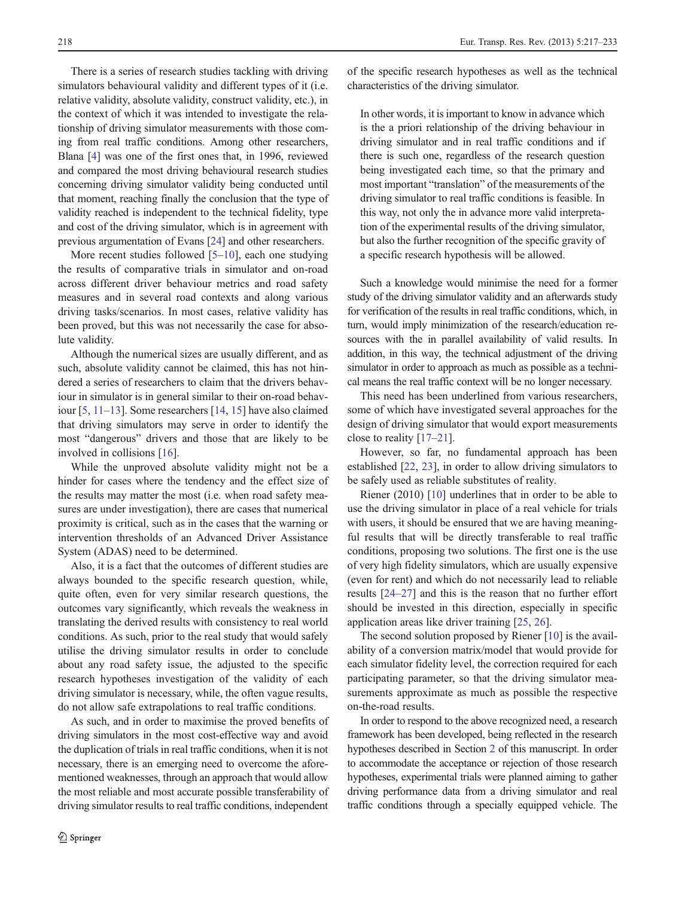There is a series of research studies tackling with driving simulators behavioural validity and different types of it (i.e. relative validity, absolute validity, construct validity, etc.), in the context of which it was intended to investigate the relationship of driving simulator measurements with those coming from real traffic conditions. Among other researchers, Blana [\[4](#page-15-0)] was one of the first ones that, in 1996, reviewed and compared the most driving behavioural research studies concerning driving simulator validity being conducted until that moment, reaching finally the conclusion that the type of validity reached is independent to the technical fidelity, type and cost of the driving simulator, which is in agreement with previous argumentation of Evans [[24](#page-16-0)] and other researchers.

More recent studies followed [[5](#page-15-0)–[10\]](#page-15-0), each one studying the results of comparative trials in simulator and on-road across different driver behaviour metrics and road safety measures and in several road contexts and along various driving tasks/scenarios. In most cases, relative validity has been proved, but this was not necessarily the case for absolute validity.

Although the numerical sizes are usually different, and as such, absolute validity cannot be claimed, this has not hindered a series of researchers to claim that the drivers behaviour in simulator is in general similar to their on-road behaviour [\[5](#page-15-0), [11](#page-15-0)–[13\]](#page-15-0). Some researchers [[14,](#page-15-0) [15\]](#page-15-0) have also claimed that driving simulators may serve in order to identify the most "dangerous" drivers and those that are likely to be involved in collisions [[16\]](#page-15-0).

While the unproved absolute validity might not be a hinder for cases where the tendency and the effect size of the results may matter the most (i.e. when road safety measures are under investigation), there are cases that numerical proximity is critical, such as in the cases that the warning or intervention thresholds of an Advanced Driver Assistance System (ADAS) need to be determined.

Also, it is a fact that the outcomes of different studies are always bounded to the specific research question, while, quite often, even for very similar research questions, the outcomes vary significantly, which reveals the weakness in translating the derived results with consistency to real world conditions. As such, prior to the real study that would safely utilise the driving simulator results in order to conclude about any road safety issue, the adjusted to the specific research hypotheses investigation of the validity of each driving simulator is necessary, while, the often vague results, do not allow safe extrapolations to real traffic conditions.

As such, and in order to maximise the proved benefits of driving simulators in the most cost-effective way and avoid the duplication of trials in real traffic conditions, when it is not necessary, there is an emerging need to overcome the aforementioned weaknesses, through an approach that would allow the most reliable and most accurate possible transferability of driving simulator results to real traffic conditions, independent

of the specific research hypotheses as well as the technical characteristics of the driving simulator.

In other words, it is important to know in advance which is the a priori relationship of the driving behaviour in driving simulator and in real traffic conditions and if there is such one, regardless of the research question being investigated each time, so that the primary and most important "translation" of the measurements of the driving simulator to real traffic conditions is feasible. In this way, not only the in advance more valid interpretation of the experimental results of the driving simulator, but also the further recognition of the specific gravity of a specific research hypothesis will be allowed.

Such a knowledge would minimise the need for a former study of the driving simulator validity and an afterwards study for verification of the results in real traffic conditions, which, in turn, would imply minimization of the research/education resources with the in parallel availability of valid results. In addition, in this way, the technical adjustment of the driving simulator in order to approach as much as possible as a technical means the real traffic context will be no longer necessary.

This need has been underlined from various researchers, some of which have investigated several approaches for the design of driving simulator that would export measurements close to reality [\[17](#page-16-0)–[21](#page-16-0)].

However, so far, no fundamental approach has been established [\[22](#page-16-0), [23\]](#page-16-0), in order to allow driving simulators to be safely used as reliable substitutes of reality.

Riener (2010) [[10\]](#page-15-0) underlines that in order to be able to use the driving simulator in place of a real vehicle for trials with users, it should be ensured that we are having meaningful results that will be directly transferable to real traffic conditions, proposing two solutions. The first one is the use of very high fidelity simulators, which are usually expensive (even for rent) and which do not necessarily lead to reliable results [[24](#page-16-0)–[27\]](#page-16-0) and this is the reason that no further effort should be invested in this direction, especially in specific application areas like driver training [[25,](#page-16-0) [26\]](#page-16-0).

The second solution proposed by Riener [[10\]](#page-15-0) is the availability of a conversion matrix/model that would provide for each simulator fidelity level, the correction required for each participating parameter, so that the driving simulator measurements approximate as much as possible the respective on-the-road results.

In order to respond to the above recognized need, a research framework has been developed, being reflected in the research hypotheses described in Section [2](#page-2-0) of this manuscript. In order to accommodate the acceptance or rejection of those research hypotheses, experimental trials were planned aiming to gather driving performance data from a driving simulator and real traffic conditions through a specially equipped vehicle. The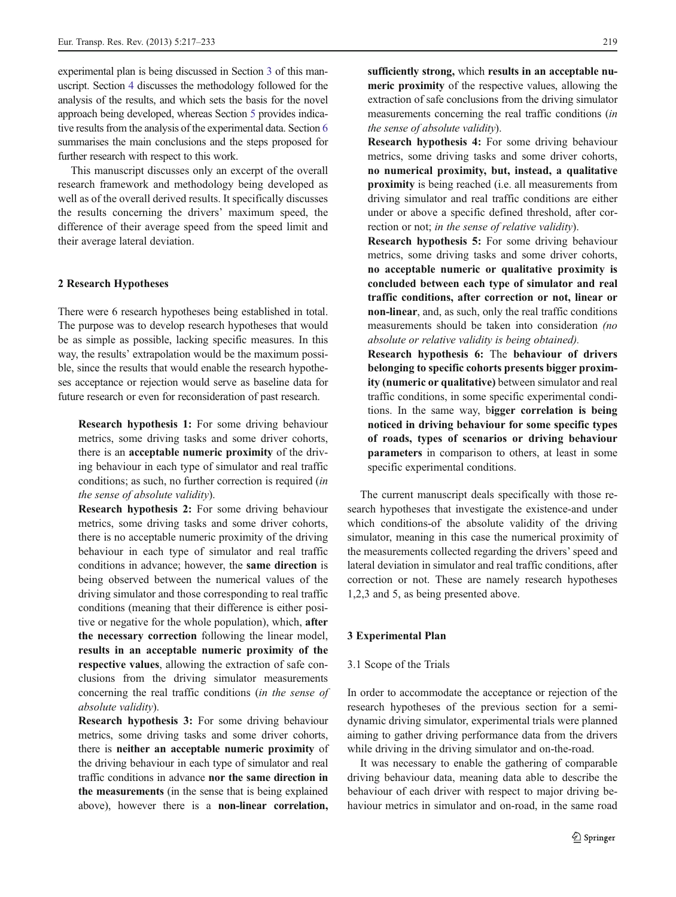<span id="page-2-0"></span>experimental plan is being discussed in Section 3 of this manuscript. Section [4](#page-6-0) discusses the methodology followed for the analysis of the results, and which sets the basis for the novel approach being developed, whereas Section [5](#page-8-0) provides indicative results from the analysis of the experimental data. Section [6](#page-14-0) summarises the main conclusions and the steps proposed for further research with respect to this work.

This manuscript discusses only an excerpt of the overall research framework and methodology being developed as well as of the overall derived results. It specifically discusses the results concerning the drivers' maximum speed, the difference of their average speed from the speed limit and their average lateral deviation.

# 2 Research Hypotheses

There were 6 research hypotheses being established in total. The purpose was to develop research hypotheses that would be as simple as possible, lacking specific measures. In this way, the results' extrapolation would be the maximum possible, since the results that would enable the research hypotheses acceptance or rejection would serve as baseline data for future research or even for reconsideration of past research.

Research hypothesis 1: For some driving behaviour metrics, some driving tasks and some driver cohorts, there is an acceptable numeric proximity of the driving behaviour in each type of simulator and real traffic conditions; as such, no further correction is required (in the sense of absolute validity).

Research hypothesis 2: For some driving behaviour metrics, some driving tasks and some driver cohorts, there is no acceptable numeric proximity of the driving behaviour in each type of simulator and real traffic conditions in advance; however, the same direction is being observed between the numerical values of the driving simulator and those corresponding to real traffic conditions (meaning that their difference is either positive or negative for the whole population), which, after the necessary correction following the linear model, results in an acceptable numeric proximity of the respective values, allowing the extraction of safe conclusions from the driving simulator measurements concerning the real traffic conditions (in the sense of absolute validity).

Research hypothesis 3: For some driving behaviour metrics, some driving tasks and some driver cohorts, there is neither an acceptable numeric proximity of the driving behaviour in each type of simulator and real traffic conditions in advance nor the same direction in the measurements (in the sense that is being explained above), however there is a non-linear correlation,

sufficiently strong, which results in an acceptable numeric proximity of the respective values, allowing the extraction of safe conclusions from the driving simulator measurements concerning the real traffic conditions (in the sense of absolute validity).

Research hypothesis 4: For some driving behaviour metrics, some driving tasks and some driver cohorts, no numerical proximity, but, instead, a qualitative proximity is being reached (i.e. all measurements from driving simulator and real traffic conditions are either under or above a specific defined threshold, after correction or not; in the sense of relative validity).

Research hypothesis 5: For some driving behaviour metrics, some driving tasks and some driver cohorts, no acceptable numeric or qualitative proximity is concluded between each type of simulator and real traffic conditions, after correction or not, linear or non-linear, and, as such, only the real traffic conditions measurements should be taken into consideration (no absolute or relative validity is being obtained).

Research hypothesis 6: The behaviour of drivers belonging to specific cohorts presents bigger proximity (numeric or qualitative) between simulator and real traffic conditions, in some specific experimental conditions. In the same way, bigger correlation is being noticed in driving behaviour for some specific types of roads, types of scenarios or driving behaviour parameters in comparison to others, at least in some specific experimental conditions.

The current manuscript deals specifically with those research hypotheses that investigate the existence-and under which conditions-of the absolute validity of the driving simulator, meaning in this case the numerical proximity of the measurements collected regarding the drivers' speed and lateral deviation in simulator and real traffic conditions, after correction or not. These are namely research hypotheses 1,2,3 and 5, as being presented above.

# 3 Experimental Plan

#### 3.1 Scope of the Trials

In order to accommodate the acceptance or rejection of the research hypotheses of the previous section for a semidynamic driving simulator, experimental trials were planned aiming to gather driving performance data from the drivers while driving in the driving simulator and on-the-road.

It was necessary to enable the gathering of comparable driving behaviour data, meaning data able to describe the behaviour of each driver with respect to major driving behaviour metrics in simulator and on-road, in the same road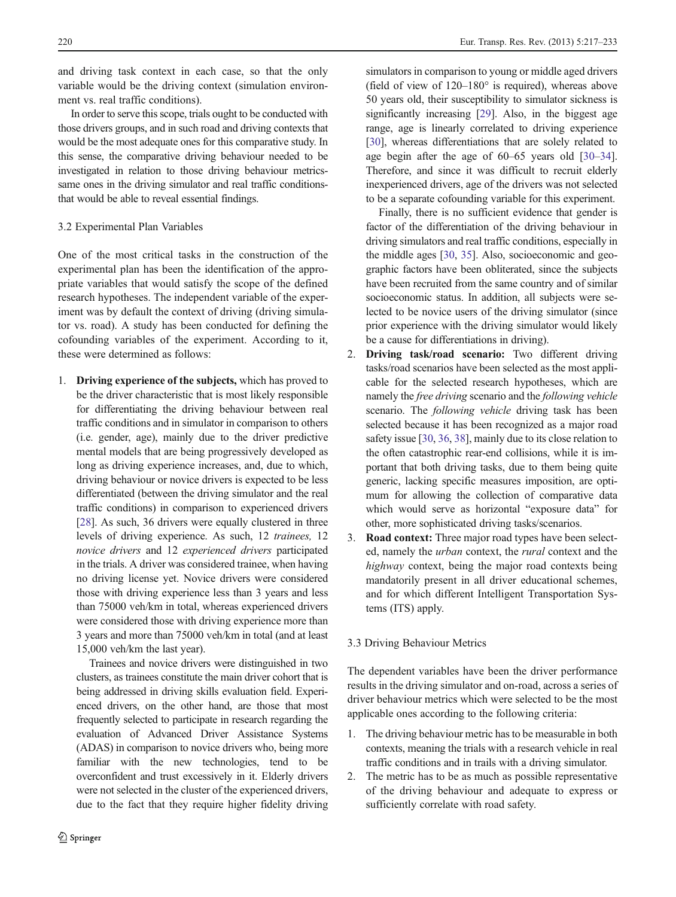and driving task context in each case, so that the only variable would be the driving context (simulation environment vs. real traffic conditions).

In order to serve this scope, trials ought to be conducted with those drivers groups, and in such road and driving contexts that would be the most adequate ones for this comparative study. In this sense, the comparative driving behaviour needed to be investigated in relation to those driving behaviour metricssame ones in the driving simulator and real traffic conditionsthat would be able to reveal essential findings.

# 3.2 Experimental Plan Variables

One of the most critical tasks in the construction of the experimental plan has been the identification of the appropriate variables that would satisfy the scope of the defined research hypotheses. The independent variable of the experiment was by default the context of driving (driving simulator vs. road). A study has been conducted for defining the cofounding variables of the experiment. According to it, these were determined as follows:

1. Driving experience of the subjects, which has proved to be the driver characteristic that is most likely responsible for differentiating the driving behaviour between real traffic conditions and in simulator in comparison to others (i.e. gender, age), mainly due to the driver predictive mental models that are being progressively developed as long as driving experience increases, and, due to which, driving behaviour or novice drivers is expected to be less differentiated (between the driving simulator and the real traffic conditions) in comparison to experienced drivers [\[28](#page-16-0)]. As such, 36 drivers were equally clustered in three levels of driving experience. As such, 12 trainees, 12 novice drivers and 12 experienced drivers participated in the trials. A driver was considered trainee, when having no driving license yet. Novice drivers were considered those with driving experience less than 3 years and less than 75000 veh/km in total, whereas experienced drivers were considered those with driving experience more than 3 years and more than 75000 veh/km in total (and at least 15,000 veh/km the last year).

Trainees and novice drivers were distinguished in two clusters, as trainees constitute the main driver cohort that is being addressed in driving skills evaluation field. Experienced drivers, on the other hand, are those that most frequently selected to participate in research regarding the evaluation of Advanced Driver Assistance Systems (ADAS) in comparison to novice drivers who, being more familiar with the new technologies, tend to be overconfident and trust excessively in it. Elderly drivers were not selected in the cluster of the experienced drivers, due to the fact that they require higher fidelity driving simulators in comparison to young or middle aged drivers (field of view of 120–180° is required), whereas above 50 years old, their susceptibility to simulator sickness is significantly increasing [\[29\]](#page-16-0). Also, in the biggest age range, age is linearly correlated to driving experience [[30](#page-16-0)], whereas differentiations that are solely related to age begin after the age of 60–65 years old [\[30](#page-16-0)–[34\]](#page-16-0). Therefore, and since it was difficult to recruit elderly inexperienced drivers, age of the drivers was not selected to be a separate cofounding variable for this experiment.

Finally, there is no sufficient evidence that gender is factor of the differentiation of the driving behaviour in driving simulators and real traffic conditions, especially in the middle ages [[30,](#page-16-0) [35\]](#page-16-0). Also, socioeconomic and geographic factors have been obliterated, since the subjects have been recruited from the same country and of similar socioeconomic status. In addition, all subjects were selected to be novice users of the driving simulator (since prior experience with the driving simulator would likely be a cause for differentiations in driving).

- 2. Driving task/road scenario: Two different driving tasks/road scenarios have been selected as the most applicable for the selected research hypotheses, which are namely the free driving scenario and the following vehicle scenario. The following vehicle driving task has been selected because it has been recognized as a major road safety issue [[30,](#page-16-0) [36,](#page-16-0) [38](#page-16-0)], mainly due to its close relation to the often catastrophic rear-end collisions, while it is important that both driving tasks, due to them being quite generic, lacking specific measures imposition, are optimum for allowing the collection of comparative data which would serve as horizontal "exposure data" for other, more sophisticated driving tasks/scenarios.
- 3. Road context: Three major road types have been selected, namely the urban context, the rural context and the highway context, being the major road contexts being mandatorily present in all driver educational schemes, and for which different Intelligent Transportation Systems (ITS) apply.

# 3.3 Driving Behaviour Metrics

The dependent variables have been the driver performance results in the driving simulator and on-road, across a series of driver behaviour metrics which were selected to be the most applicable ones according to the following criteria:

- 1. The driving behaviour metric has to be measurable in both contexts, meaning the trials with a research vehicle in real traffic conditions and in trails with a driving simulator.
- 2. The metric has to be as much as possible representative of the driving behaviour and adequate to express or sufficiently correlate with road safety.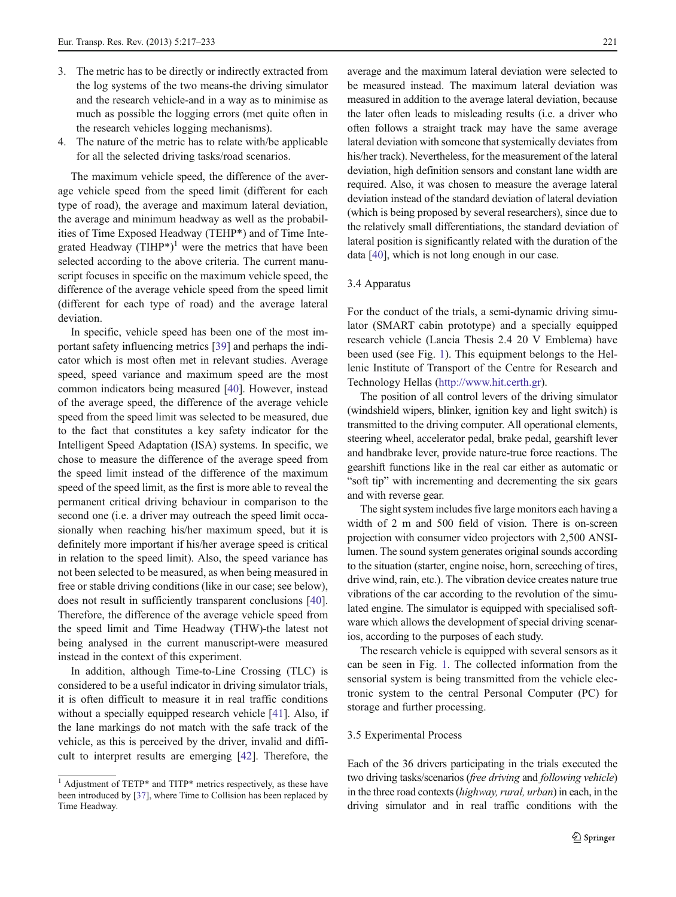- 3. The metric has to be directly or indirectly extracted from the log systems of the two means-the driving simulator and the research vehicle-and in a way as to minimise as much as possible the logging errors (met quite often in the research vehicles logging mechanisms).
- 4. The nature of the metric has to relate with/be applicable for all the selected driving tasks/road scenarios.

The maximum vehicle speed, the difference of the average vehicle speed from the speed limit (different for each type of road), the average and maximum lateral deviation, the average and minimum headway as well as the probabilities of Time Exposed Headway (TEHP\*) and of Time Integrated Headway (TIHP<sup>\*</sup>)<sup>1</sup> were the metrics that have been selected according to the above criteria. The current manuscript focuses in specific on the maximum vehicle speed, the difference of the average vehicle speed from the speed limit (different for each type of road) and the average lateral deviation.

In specific, vehicle speed has been one of the most important safety influencing metrics [[39\]](#page-16-0) and perhaps the indicator which is most often met in relevant studies. Average speed, speed variance and maximum speed are the most common indicators being measured [[40\]](#page-16-0). However, instead of the average speed, the difference of the average vehicle speed from the speed limit was selected to be measured, due to the fact that constitutes a key safety indicator for the Intelligent Speed Adaptation (ISA) systems. In specific, we chose to measure the difference of the average speed from the speed limit instead of the difference of the maximum speed of the speed limit, as the first is more able to reveal the permanent critical driving behaviour in comparison to the second one (i.e. a driver may outreach the speed limit occasionally when reaching his/her maximum speed, but it is definitely more important if his/her average speed is critical in relation to the speed limit). Also, the speed variance has not been selected to be measured, as when being measured in free or stable driving conditions (like in our case; see below), does not result in sufficiently transparent conclusions [\[40](#page-16-0)]. Therefore, the difference of the average vehicle speed from the speed limit and Time Headway (THW)-the latest not being analysed in the current manuscript-were measured instead in the context of this experiment.

In addition, although Time-to-Line Crossing (TLC) is considered to be a useful indicator in driving simulator trials, it is often difficult to measure it in real traffic conditions without a specially equipped research vehicle [\[41](#page-16-0)]. Also, if the lane markings do not match with the safe track of the vehicle, as this is perceived by the driver, invalid and difficult to interpret results are emerging [\[42](#page-16-0)]. Therefore, the average and the maximum lateral deviation were selected to be measured instead. The maximum lateral deviation was measured in addition to the average lateral deviation, because the later often leads to misleading results (i.e. a driver who often follows a straight track may have the same average lateral deviation with someone that systemically deviates from his/her track). Nevertheless, for the measurement of the lateral deviation, high definition sensors and constant lane width are required. Also, it was chosen to measure the average lateral deviation instead of the standard deviation of lateral deviation (which is being proposed by several researchers), since due to the relatively small differentiations, the standard deviation of lateral position is significantly related with the duration of the data [\[40\]](#page-16-0), which is not long enough in our case.

## 3.4 Apparatus

For the conduct of the trials, a semi-dynamic driving simulator (SMART cabin prototype) and a specially equipped research vehicle (Lancia Thesis 2.4 20 V Emblema) have been used (see Fig. [1](#page-5-0)). This equipment belongs to the Hellenic Institute of Transport of the Centre for Research and Technology Hellas ([http://www.hit.certh.gr\)](http://www.hit.certh.gr).

The position of all control levers of the driving simulator (windshield wipers, blinker, ignition key and light switch) is transmitted to the driving computer. All operational elements, steering wheel, accelerator pedal, brake pedal, gearshift lever and handbrake lever, provide nature-true force reactions. The gearshift functions like in the real car either as automatic or "soft tip" with incrementing and decrementing the six gears and with reverse gear.

The sight system includes five large monitors each having a width of 2 m and 500 field of vision. There is on-screen projection with consumer video projectors with 2,500 ANSIlumen. The sound system generates original sounds according to the situation (starter, engine noise, horn, screeching of tires, drive wind, rain, etc.). The vibration device creates nature true vibrations of the car according to the revolution of the simulated engine. The simulator is equipped with specialised software which allows the development of special driving scenarios, according to the purposes of each study.

The research vehicle is equipped with several sensors as it can be seen in Fig. [1](#page-5-0). The collected information from the sensorial system is being transmitted from the vehicle electronic system to the central Personal Computer (PC) for storage and further processing.

# 3.5 Experimental Process

Each of the 36 drivers participating in the trials executed the two driving tasks/scenarios (free driving and following vehicle) in the three road contexts (highway, rural, urban) in each, in the driving simulator and in real traffic conditions with the

 $1$  Adjustment of TETP\* and TITP\* metrics respectively, as these have been introduced by [\[37\]](#page-16-0), where Time to Collision has been replaced by Time Headway.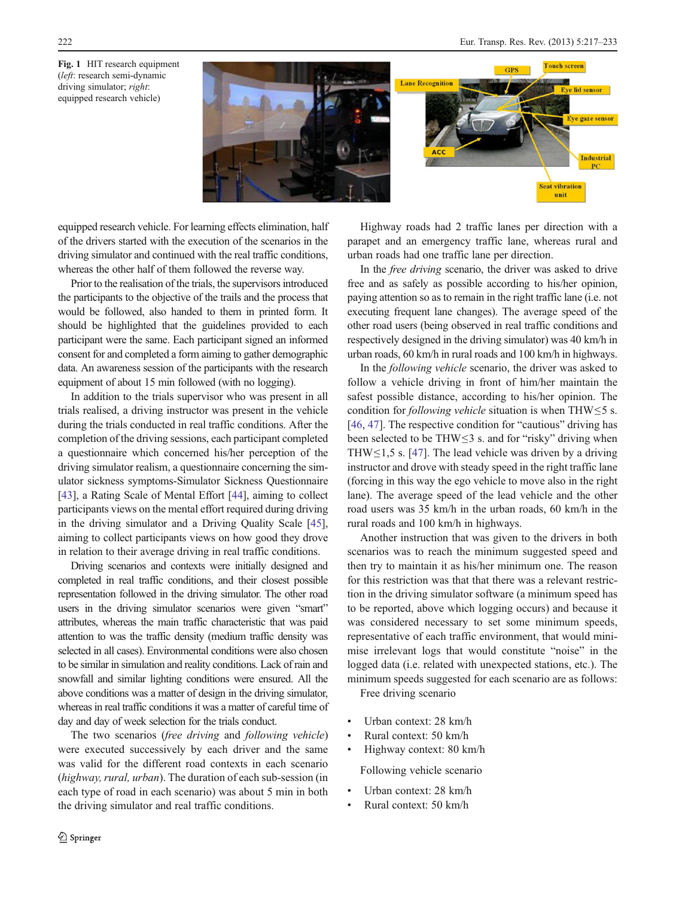<span id="page-5-0"></span>



equipped research vehicle. For learning effects elimination, half of the drivers started with the execution of the scenarios in the driving simulator and continued with the real traffic conditions, whereas the other half of them followed the reverse way.

Prior to the realisation of the trials, the supervisors introduced the participants to the objective of the trails and the process that would be followed, also handed to them in printed form. It should be highlighted that the guidelines provided to each participant were the same. Each participant signed an informed consent for and completed a form aiming to gather demographic data. An awareness session of the participants with the research equipment of about 15 min followed (with no logging).

In addition to the trials supervisor who was present in all trials realised, a driving instructor was present in the vehicle during the trials conducted in real traffic conditions. After the completion of the driving sessions, each participant completed a questionnaire which concerned his/her perception of the driving simulator realism, a questionnaire concerning the simulator sickness symptoms-Simulator Sickness Questionnaire [\[43\]](#page-16-0), a Rating Scale of Mental Effort [\[44\]](#page-16-0), aiming to collect participants views on the mental effort required during driving in the driving simulator and a Driving Quality Scale [[45\]](#page-16-0), aiming to collect participants views on how good they drove in relation to their average driving in real traffic conditions.

Driving scenarios and contexts were initially designed and completed in real traffic conditions, and their closest possible representation followed in the driving simulator. The other road users in the driving simulator scenarios were given "smart" attributes, whereas the main traffic characteristic that was paid attention to was the traffic density (medium traffic density was selected in all cases). Environmental conditions were also chosen to be similar in simulation and reality conditions. Lack of rain and snowfall and similar lighting conditions were ensured. All the above conditions was a matter of design in the driving simulator, whereas in real traffic conditions it was a matter of careful time of day and day of week selection for the trials conduct.

The two scenarios (free driving and following vehicle) were executed successively by each driver and the same was valid for the different road contexts in each scenario (highway, rural, urban). The duration of each sub-session (in each type of road in each scenario) was about 5 min in both the driving simulator and real traffic conditions.

Highway roads had 2 traffic lanes per direction with a parapet and an emergency traffic lane, whereas rural and urban roads had one traffic lane per direction.

In the free driving scenario, the driver was asked to drive free and as safely as possible according to his/her opinion, paying attention so as to remain in the right traffic lane (i.e. not executing frequent lane changes). The average speed of the other road users (being observed in real traffic conditions and respectively designed in the driving simulator) was 40 km/h in urban roads, 60 km/h in rural roads and 100 km/h in highways.

In the following vehicle scenario, the driver was asked to follow a vehicle driving in front of him/her maintain the safest possible distance, according to his/her opinion. The condition for *following vehicle* situation is when THW $\leq$ 5 s. [\[46](#page-16-0), [47](#page-16-0)]. The respective condition for "cautious" driving has been selected to be THW $\leq$ 3 s. and for "risky" driving when THW $\leq$ 1,5 s. [\[47](#page-16-0)]. The lead vehicle was driven by a driving instructor and drove with steady speed in the right traffic lane (forcing in this way the ego vehicle to move also in the right lane). The average speed of the lead vehicle and the other road users was 35 km/h in the urban roads, 60 km/h in the rural roads and 100 km/h in highways.

Another instruction that was given to the drivers in both scenarios was to reach the minimum suggested speed and then try to maintain it as his/her minimum one. The reason for this restriction was that that there was a relevant restriction in the driving simulator software (a minimum speed has to be reported, above which logging occurs) and because it was considered necessary to set some minimum speeds, representative of each traffic environment, that would minimise irrelevant logs that would constitute "noise" in the logged data (i.e. related with unexpected stations, etc.). The minimum speeds suggested for each scenario are as follows:

Free driving scenario

- & Urban context: 28 km/h
- & Rural context: 50 km/h
- & Highway context: 80 km/h

Following vehicle scenario

- & Urban context: 28 km/h
- & Rural context: 50 km/h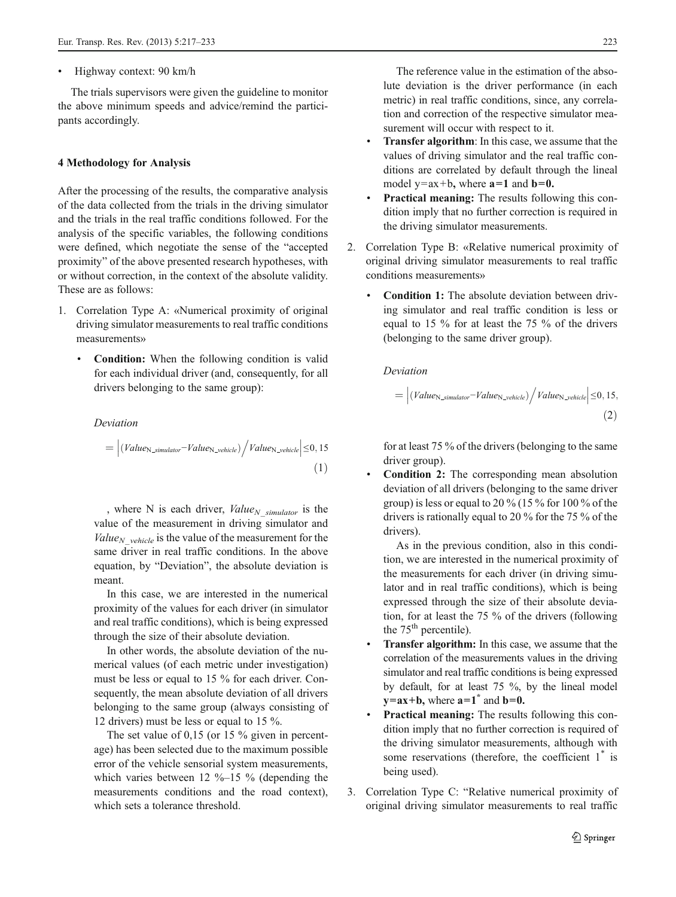<span id="page-6-0"></span>& Highway context: 90 km/h

The trials supervisors were given the guideline to monitor the above minimum speeds and advice/remind the participants accordingly.

#### 4 Methodology for Analysis

After the processing of the results, the comparative analysis of the data collected from the trials in the driving simulator and the trials in the real traffic conditions followed. For the analysis of the specific variables, the following conditions were defined, which negotiate the sense of the "accepted proximity" of the above presented research hypotheses, with or without correction, in the context of the absolute validity. These are as follows:

- 1. Correlation Type A: «Numerical proximity of original driving simulator measurements to real traffic conditions measurements»
	- Condition: When the following condition is valid for each individual driver (and, consequently, for all drivers belonging to the same group):

#### Deviation

$$
= \left| (Value_{N\_simulator} - Value_{N\_vehicle}) / Value_{N\_vehicle} \right| \leq 0, 15
$$
\n
$$
\tag{1}
$$

, where N is each driver,  $Value_N$  simulator is the value of the measurement in driving simulator and *Value<sub>N</sub>* vehicle is the value of the measurement for the same driver in real traffic conditions. In the above equation, by "Deviation", the absolute deviation is meant.

In this case, we are interested in the numerical proximity of the values for each driver (in simulator and real traffic conditions), which is being expressed through the size of their absolute deviation.

In other words, the absolute deviation of the numerical values (of each metric under investigation) must be less or equal to 15 % for each driver. Consequently, the mean absolute deviation of all drivers belonging to the same group (always consisting of 12 drivers) must be less or equal to 15 %.

The set value of  $0.15$  (or  $15\%$  given in percentage) has been selected due to the maximum possible error of the vehicle sensorial system measurements, which varies between 12 %–15 % (depending the measurements conditions and the road context), which sets a tolerance threshold.

The reference value in the estimation of the absolute deviation is the driver performance (in each metric) in real traffic conditions, since, any correlation and correction of the respective simulator measurement will occur with respect to it.

- Transfer algorithm: In this case, we assume that the values of driving simulator and the real traffic conditions are correlated by default through the lineal model  $y=ax+b$ , where  $a=1$  and  $b=0$ .
- Practical meaning: The results following this condition imply that no further correction is required in the driving simulator measurements.
- 2. Correlation Type Β: «Relative numerical proximity of original driving simulator measurements to real traffic conditions measurements»
	- Condition 1: The absolute deviation between driving simulator and real traffic condition is less or equal to 15 % for at least the 75 % of the drivers (belonging to the same driver group).

# Deviation

$$
= |(Value_{N\_simulator} - Value_{N\_vehicle}) / Value_{N\_vehicle}| \le 0, 15,
$$
\n
$$
(2)
$$

for at least 75 % of the drivers (belonging to the same driver group).

Condition 2: The corresponding mean absolution deviation of all drivers (belonging to the same driver group) is less or equal to 20 % (15 % for 100 % of the drivers is rationally equal to 20 % for the 75 % of the drivers).

As in the previous condition, also in this condition, we are interested in the numerical proximity of the measurements for each driver (in driving simulator and in real traffic conditions), which is being expressed through the size of their absolute deviation, for at least the 75 % of the drivers (following the  $75<sup>th</sup>$  percentile).

- Transfer algorithm: In this case, we assume that the correlation of the measurements values in the driving simulator and real traffic conditions is being expressed by default, for at least 75 %, by the lineal model  $y=ax+b$ , where  $a=1^{\degree}$  and  $b=0$ .
- Practical meaning: The results following this condition imply that no further correction is required of the driving simulator measurements, although with some reservations (therefore, the coefficient 1<sup>\*</sup> is being used).
- 3. Correlation Type C: "Relative numerical proximity of original driving simulator measurements to real traffic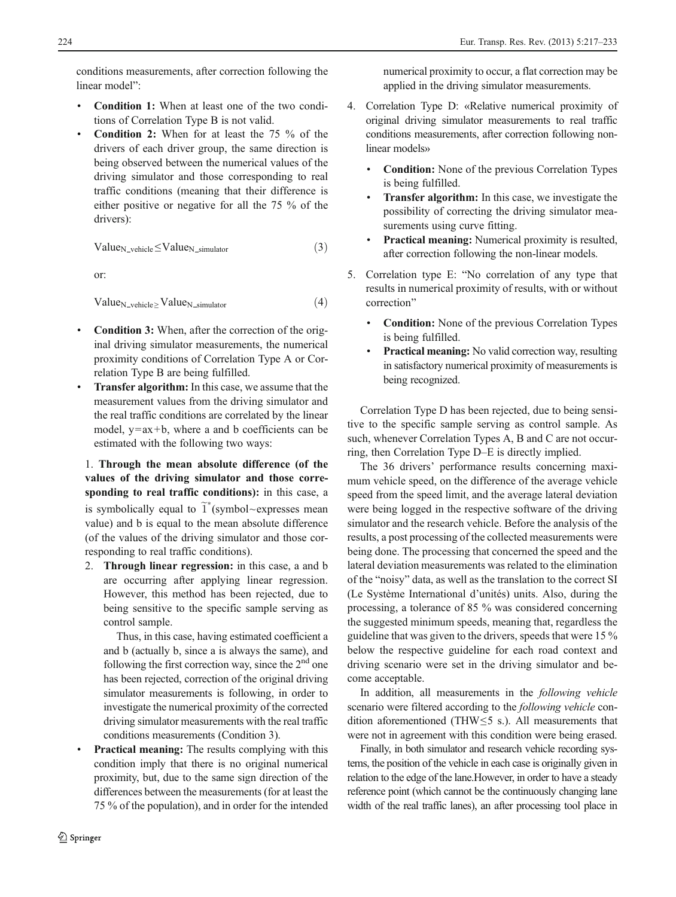conditions measurements, after correction following the linear model":

- Condition 1: When at least one of the two conditions of Correlation Type B is not valid.
- **Condition 2:** When for at least the 75 % of the drivers of each driver group, the same direction is being observed between the numerical values of the driving simulator and those corresponding to real traffic conditions (meaning that their difference is either positive or negative for all the 75 % of the drivers):

$$
Value_{N\_vehicle} \leq Value_{N\_simulator}
$$
 (3)

or:

$$
Value_{N\text{-}\text{vehicle}} \ge Value_{N\text{-}\text{simulator}} \tag{4}
$$

- Condition 3: When, after the correction of the original driving simulator measurements, the numerical proximity conditions of Correlation Type A or Correlation Type B are being fulfilled.
- **Transfer algorithm:** In this case, we assume that the measurement values from the driving simulator and the real traffic conditions are correlated by the linear model,  $y=ax+b$ , where a and b coefficients can be estimated with the following two ways:

1. Through the mean absolute difference (of the values of the driving simulator and those corresponding to real traffic conditions): in this case, a is symbolically equal to  $\tilde{1}^*$  (symbol~expresses mean value) and b is equal to the mean absolute difference (of the values of the driving simulator and those corresponding to real traffic conditions).

2. Through linear regression: in this case, a and b are occurring after applying linear regression. However, this method has been rejected, due to being sensitive to the specific sample serving as control sample.

Thus, in this case, having estimated coefficient a and b (actually b, since a is always the same), and following the first correction way, since the  $2<sup>nd</sup>$  one has been rejected, correction of the original driving simulator measurements is following, in order to investigate the numerical proximity of the corrected driving simulator measurements with the real traffic conditions measurements (Condition 3).

Practical meaning: The results complying with this condition imply that there is no original numerical proximity, but, due to the same sign direction of the differences between the measurements (for at least the 75 % of the population), and in order for the intended numerical proximity to occur, a flat correction may be applied in the driving simulator measurements.

- 4. Correlation Type D: «Relative numerical proximity of original driving simulator measurements to real traffic conditions measurements, after correction following nonlinear models»
	- Condition: None of the previous Correlation Types is being fulfilled.
	- Transfer algorithm: In this case, we investigate the possibility of correcting the driving simulator measurements using curve fitting.
	- Practical meaning: Numerical proximity is resulted, after correction following the non-linear models.
- 5. Correlation type Ε: "No correlation of any type that results in numerical proximity of results, with or without correction"
	- Condition: None of the previous Correlation Types is being fulfilled.
	- Practical meaning: No valid correction way, resulting in satisfactory numerical proximity of measurements is being recognized.

Correlation Type D has been rejected, due to being sensitive to the specific sample serving as control sample. As such, whenever Correlation Types A, B and C are not occurring, then Correlation Type D–E is directly implied.

The 36 drivers' performance results concerning maximum vehicle speed, on the difference of the average vehicle speed from the speed limit, and the average lateral deviation were being logged in the respective software of the driving simulator and the research vehicle. Before the analysis of the results, a post processing of the collected measurements were being done. The processing that concerned the speed and the lateral deviation measurements was related to the elimination of the "noisy" data, as well as the translation to the correct SI (Le Système International d'unités) units. Also, during the processing, a tolerance of 85 % was considered concerning the suggested minimum speeds, meaning that, regardless the guideline that was given to the drivers, speeds that were 15 % below the respective guideline for each road context and driving scenario were set in the driving simulator and become acceptable.

In addition, all measurements in the *following vehicle* scenario were filtered according to the following vehicle condition aforementioned (THW≤5 s.). All measurements that were not in agreement with this condition were being erased.

Finally, in both simulator and research vehicle recording systems, the position of the vehicle in each case is originally given in relation to the edge of the lane.However, in order to have a steady reference point (which cannot be the continuously changing lane width of the real traffic lanes), an after processing tool place in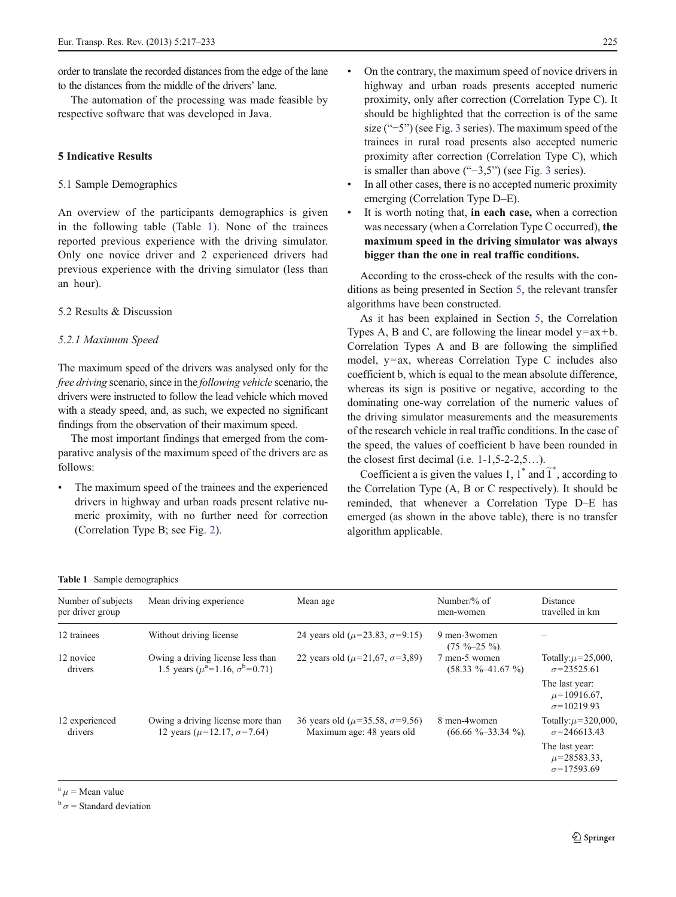<span id="page-8-0"></span>order to translate the recorded distances from the edge of the lane to the distances from the middle of the drivers' lane.

The automation of the processing was made feasible by respective software that was developed in Java.

# 5 Indicative Results

## 5.1 Sample Demographics

An overview of the participants demographics is given in the following table (Table 1). None of the trainees reported previous experience with the driving simulator. Only one novice driver and 2 experienced drivers had previous experience with the driving simulator (less than an hour).

# 5.2 Results & Discussion

#### 5.2.1 Maximum Speed

The maximum speed of the drivers was analysed only for the free driving scenario, since in the following vehicle scenario, the drivers were instructed to follow the lead vehicle which moved with a steady speed, and, as such, we expected no significant findings from the observation of their maximum speed.

The most important findings that emerged from the comparative analysis of the maximum speed of the drivers are as follows:

The maximum speed of the trainees and the experienced drivers in highway and urban roads present relative numeric proximity, with no further need for correction (Correlation Type B; see Fig. [2\)](#page-9-0).

- On the contrary, the maximum speed of novice drivers in highway and urban roads presents accepted numeric proximity, only after correction (Correlation Type C). It should be highlighted that the correction is of the same size ("−5") (see Fig. [3](#page-10-0) series). The maximum speed of the trainees in rural road presents also accepted numeric proximity after correction (Correlation Type C), which is smaller than above ("−3,5") (see Fig. [3](#page-10-0) series).
- In all other cases, there is no accepted numeric proximity emerging (Correlation Type D–E).
- It is worth noting that, in each case, when a correction was necessary (when a Correlation Type C occurred), the maximum speed in the driving simulator was always bigger than the one in real traffic conditions.

According to the cross-check of the results with the conditions as being presented in Section 5, the relevant transfer algorithms have been constructed.

As it has been explained in Section 5, the Correlation Types A, B and C, are following the linear model  $y=ax+b$ . Correlation Types Α and Β are following the simplified model, y=ax, whereas Correlation Type C includes also coefficient b, which is equal to the mean absolute difference, whereas its sign is positive or negative, according to the dominating one-way correlation of the numeric values of the driving simulator measurements and the measurements of the research vehicle in real traffic conditions. In the case of the speed, the values of coefficient b have been rounded in the closest first decimal (i.e.  $1-1, 5-2-2, 5...$ ).

Coefficient a is given the values 1, 1\* and  $\tilde{1}^*$ , according to the Correlation Type (A, B or C respectively). It should be reminded, that whenever a Correlation Type D–E has emerged (as shown in the above table), there is no transfer algorithm applicable.

|  |  | <b>Table 1</b> Sample demographics |
|--|--|------------------------------------|
|--|--|------------------------------------|

| Number of subjects<br>per driver group | Mean driving experience                                                           | Mean age                                                                  | Number/ $%$ of<br>men-women                            | Distance<br>travelled in km                              |
|----------------------------------------|-----------------------------------------------------------------------------------|---------------------------------------------------------------------------|--------------------------------------------------------|----------------------------------------------------------|
| 12 trainees                            | Without driving license                                                           | 24 years old ( $\mu$ =23.83, $\sigma$ =9.15)                              | 9 men-3 women<br>$(75 \frac{9}{0} - 25 \frac{9}{0})$ . |                                                          |
| 12 novice<br>drivers                   | Owing a driving license less than<br>1.5 years ( $\mu^a$ =1.16, $\sigma^b$ =0.71) | 22 years old ( $\mu$ =21,67, $\sigma$ =3,89)                              | 7 men-5 women<br>$(58.33 \text{ %} -41.67 \text{ %})$  | Totally: $\mu$ =25,000,<br>$\sigma = 23525.61$           |
|                                        |                                                                                   |                                                                           |                                                        | The last year:<br>$\mu$ =10916.67,<br>$\sigma$ =10219.93 |
| 12 experienced<br>drivers              | Owing a driving license more than<br>12 years ( $\mu$ =12.17, $\sigma$ =7.64)     | 36 years old ( $\mu$ =35.58, $\sigma$ =9.56)<br>Maximum age: 48 years old | 8 men-4women<br>$(66.66 \text{ %} -33.34 \text{ %})$   | Totally: $\mu$ =320,000,<br>$\sigma$ =246613.43          |
|                                        |                                                                                   |                                                                           |                                                        | The last year:<br>$\mu$ =28583.33,<br>$\sigma$ =17593.69 |

 $a<sub>\mu</sub>$  = Mean value

 $b \sigma$  = Standard deviation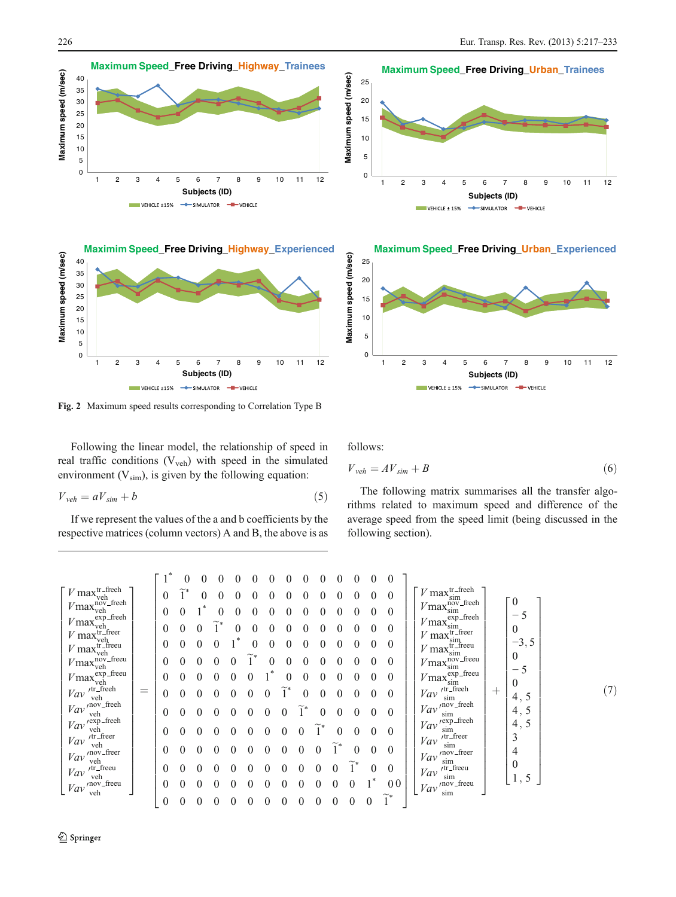<span id="page-9-0"></span>

Fig. 2 Maximum speed results corresponding to Correlation Type B

Following the linear model, the relationship of speed in real traffic conditions  $(V_{veh})$  with speed in the simulated environment  $(V_{sim})$ , is given by the following equation:

$$
V_{veh} = aV_{sim} + b \tag{5}
$$

If we represent the values of the a and b coefficients by the respective matrices (column vectors) Α and Β, the above is as



follows:

$$
V_{veh} = AV_{sim} + B \tag{6}
$$

The following matrix summarises all the transfer algorithms related to maximum speed and difference of the average speed from the speed limit (being discussed in the following section).

| $V$ max $_{\text{veh}}^{\text{tr\_freeh}}$                                               |     |                  |  |  |  |  |          |          | $\theta$       | $V$ max $_{\text{sim}}^{\text{tr\_freeh}}$<br>0                                                          |
|------------------------------------------------------------------------------------------|-----|------------------|--|--|--|--|----------|----------|----------------|----------------------------------------------------------------------------------------------------------|
| $V$ max $_{\text{veh}}^{\text{nov\_freeh}}$                                              |     |                  |  |  |  |  |          |          | $\Omega$       | $V$ max $\frac{100V}{100}$ freeh<br>- 5                                                                  |
| $V$ max $_{\text{veh}}^{\text{exp\_freeh}}$                                              |     | $\theta$         |  |  |  |  |          |          | $\theta$       | $V$ max $\frac{\text{exp-free}}{\text{time}}$<br>$V$ max $\frac{\text{tr-free}}{\text{sim}}$<br>$\theta$ |
| $V$ max $\frac{V}{V}$ free                                                               |     | $\theta$         |  |  |  |  |          |          | $\Omega$       | $-3, 5$                                                                                                  |
| $V$ max $_{\text{veh}}^{\text{tr\_freeu}}$<br>$V$ max $_{\text{veh}}^{\text{nov-freeu}}$ |     | $\theta$         |  |  |  |  |          |          | 0              | $V$ max $_{sim}^{tr-free}$<br>$\Omega$<br>$V$ max $\frac{100V}{100}$ freeu                               |
| $V$ max $_{\text{veh}}^{\text{exp\_free}}$                                               |     |                  |  |  |  |  |          |          |                | $-5$<br>$V{\rm max}_{\rm sim}^{\rm exp\_free}$                                                           |
| $/$ tr_freeh<br>Vav                                                                      | $=$ | $\Omega$         |  |  |  |  |          |          | 0              | $\theta$<br>(7)<br>tr_freeh<br>$^+$<br>Vav<br>4, 5                                                       |
| veh<br>/nov_freeh<br>$\Delta$ $Vav$ $\frac{V}{\text{veh}}$                               |     | $\Omega$         |  |  |  |  |          |          | $\Omega$       | sim<br>/nov_freeh<br>Vav<br>4, 5                                                                         |
| /exp_freeh<br>$\sqrt{V}$                                                                 |     |                  |  |  |  |  |          |          |                | sim<br>$/exp$ freeh<br>4, 5<br>Vav                                                                       |
| veh<br>$/$ tr_freer<br>Vav                                                               |     | $\theta$         |  |  |  |  | $\Omega$ |          | $\Omega$       | sim<br>3<br>$/$ tr_freer<br>Vav                                                                          |
| veh<br>/nov freer<br>Vav                                                                 |     | $\theta$         |  |  |  |  |          |          | $\Omega$       | sim<br>4<br>/nov freer<br>Vav                                                                            |
| veh<br>$/$ tr_freeu<br>Vav                                                               |     | $\theta$         |  |  |  |  |          | $\theta$ | $\Omega$       | sim<br>$\theta$<br>$/$ tr_freeu<br>Vav                                                                   |
| veh<br>/nov_freeu<br>$\lfloor \textit{Vav} \rfloor$<br>veh                               |     |                  |  |  |  |  |          |          | 0 <sub>0</sub> | sim<br>, 5<br>/nov_freeu<br>Vav<br>sim                                                                   |
|                                                                                          |     | $\boldsymbol{0}$ |  |  |  |  |          |          | $\sim_{*}$     |                                                                                                          |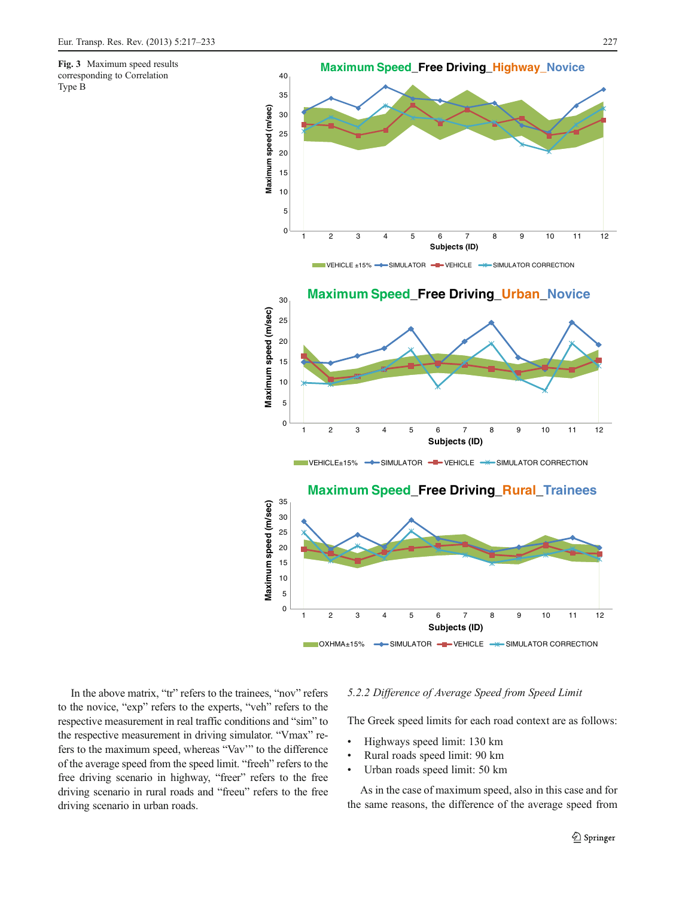<span id="page-10-0"></span>

In the above matrix, "tr" refers to the trainees, "nov" refers to the novice, "exp" refers to the experts, "veh" refers to the respective measurement in real traffic conditions and "sim" to the respective measurement in driving simulator. "Vmax" refers to the maximum speed, whereas "Vav'" to the difference of the average speed from the speed limit. "freeh" refers to the free driving scenario in highway, "freer" refers to the free driving scenario in rural roads and "freeu" refers to the free driving scenario in urban roads.

#### 5.2.2 Difference of Average Speed from Speed Limit

The Greek speed limits for each road context are as follows:

- & Highways speed limit: 130 km
- & Rural roads speed limit: 90 km
- & Urban roads speed limit: 50 km

As in the case of maximum speed, also in this case and for the same reasons, the difference of the average speed from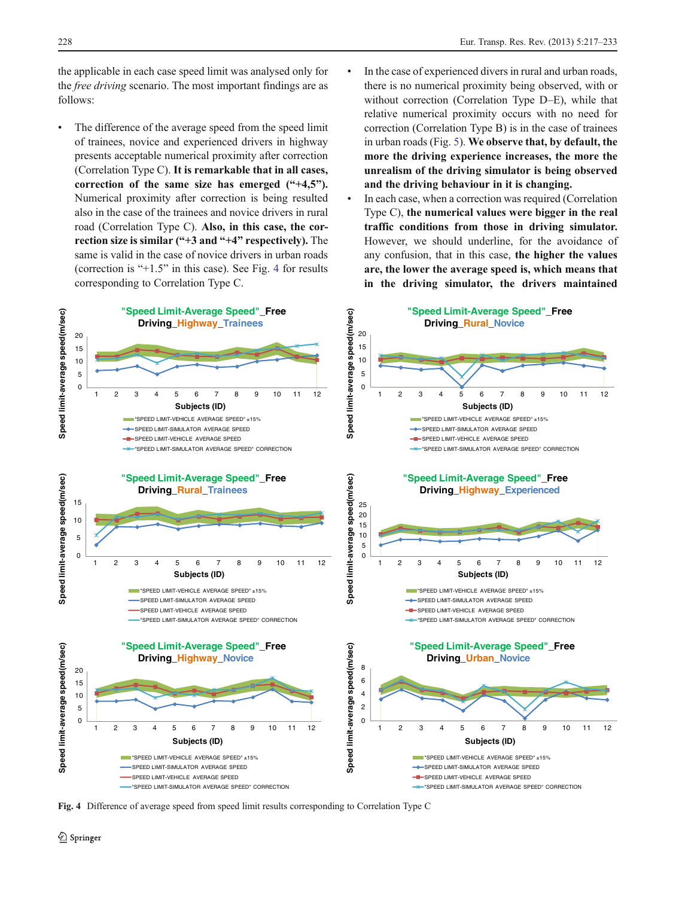the applicable in each case speed limit was analysed only for the *free driving* scenario. The most important findings are as follows:

- The difference of the average speed from the speed limit of trainees, novice and experienced drivers in highway presents acceptable numerical proximity after correction (Correlation Type C). It is remarkable that in all cases, correction of the same size has emerged ("+4,5"). Numerical proximity after correction is being resulted also in the case of the trainees and novice drivers in rural road (Correlation Type C). Also, in this case, the correction size is similar ("+3 and "+4" respectively). The same is valid in the case of novice drivers in urban roads (correction is "+1.5" in this case). See Fig. 4 for results corresponding to Correlation Type C.
- In the case of experienced divers in rural and urban roads, there is no numerical proximity being observed, with or without correction (Correlation Type D–E), while that relative numerical proximity occurs with no need for correction (Correlation Type B) is in the case of trainees in urban roads (Fig. [5\)](#page-12-0). We observe that, by default, the more the driving experience increases, the more the unrealism of the driving simulator is being observed and the driving behaviour in it is changing.
- In each case, when a correction was required (Correlation Type C), the numerical values were bigger in the real traffic conditions from those in driving simulator. However, we should underline, for the avoidance of any confusion, that in this case, the higher the values are, the lower the average speed is, which means that in the driving simulator, the drivers maintained



Fig. 4 Difference of average speed from speed limit results corresponding to Correlation Type C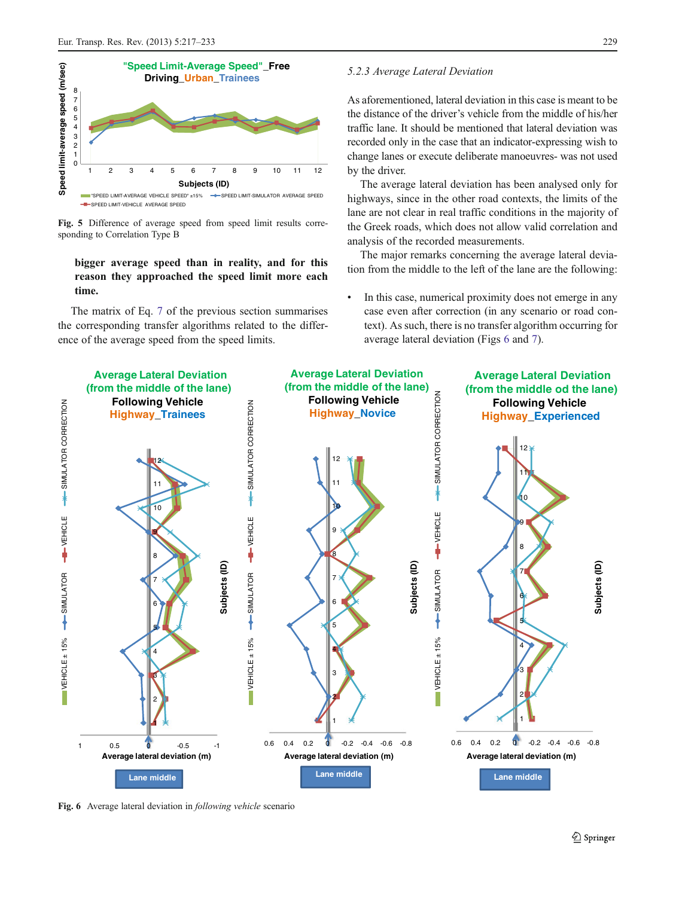<span id="page-12-0"></span>

Fig. 5 Difference of average speed from speed limit results corresponding to Correlation Type B

# bigger average speed than in reality, and for this reason they approached the speed limit more each time.

The matrix of Eq. [7](#page-9-0) of the previous section summarises the corresponding transfer algorithms related to the difference of the average speed from the speed limits.

## 5.2.3 Average Lateral Deviation

As aforementioned, lateral deviation in this case is meant to be the distance of the driver's vehicle from the middle of his/her traffic lane. It should be mentioned that lateral deviation was recorded only in the case that an indicator-expressing wish to change lanes or execute deliberate manoeuvres- was not used by the driver.

The average lateral deviation has been analysed only for highways, since in the other road contexts, the limits of the lane are not clear in real traffic conditions in the majority of the Greek roads, which does not allow valid correlation and analysis of the recorded measurements.

The major remarks concerning the average lateral deviation from the middle to the left of the lane are the following:

& In this case, numerical proximity does not emerge in any case even after correction (in any scenario or road context). As such, there is no transfer algorithm occurring for average lateral deviation (Figs 6 and [7\)](#page-13-0).



Fig. 6 Average lateral deviation in following vehicle scenario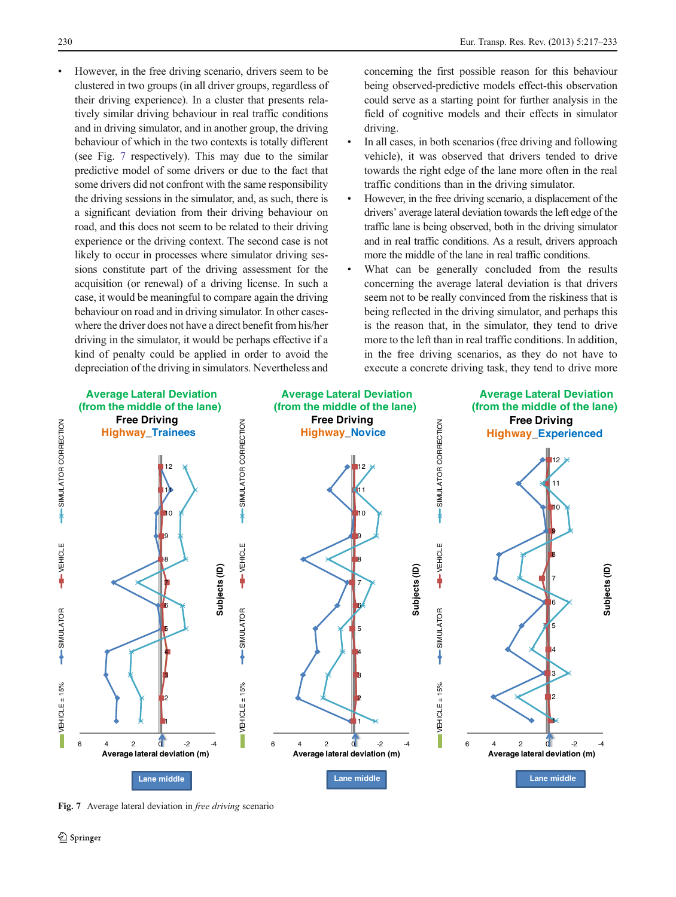<span id="page-13-0"></span>& However, in the free driving scenario, drivers seem to be clustered in two groups (in all driver groups, regardless of their driving experience). In a cluster that presents relatively similar driving behaviour in real traffic conditions and in driving simulator, and in another group, the driving behaviour of which in the two contexts is totally different (see Fig. 7 respectively). This may due to the similar predictive model of some drivers or due to the fact that some drivers did not confront with the same responsibility the driving sessions in the simulator, and, as such, there is a significant deviation from their driving behaviour on road, and this does not seem to be related to their driving experience or the driving context. The second case is not likely to occur in processes where simulator driving sessions constitute part of the driving assessment for the acquisition (or renewal) of a driving license. In such a case, it would be meaningful to compare again the driving behaviour on road and in driving simulator. In other caseswhere the driver does not have a direct benefit from his/her driving in the simulator, it would be perhaps effective if a kind of penalty could be applied in order to avoid the depreciation of the driving in simulators. Nevertheless and

concerning the first possible reason for this behaviour being observed-predictive models effect-this observation could serve as a starting point for further analysis in the field of cognitive models and their effects in simulator driving.

- In all cases, in both scenarios (free driving and following vehicle), it was observed that drivers tended to drive towards the right edge of the lane more often in the real traffic conditions than in the driving simulator.
- However, in the free driving scenario, a displacement of the drivers' average lateral deviation towards the left edge of the traffic lane is being observed, both in the driving simulator and in real traffic conditions. As a result, drivers approach more the middle of the lane in real traffic conditions.
- What can be generally concluded from the results concerning the average lateral deviation is that drivers seem not to be really convinced from the riskiness that is being reflected in the driving simulator, and perhaps this is the reason that, in the simulator, they tend to drive more to the left than in real traffic conditions. In addition, in the free driving scenarios, as they do not have to execute a concrete driving task, they tend to drive more



Fig. 7 Average lateral deviation in free driving scenario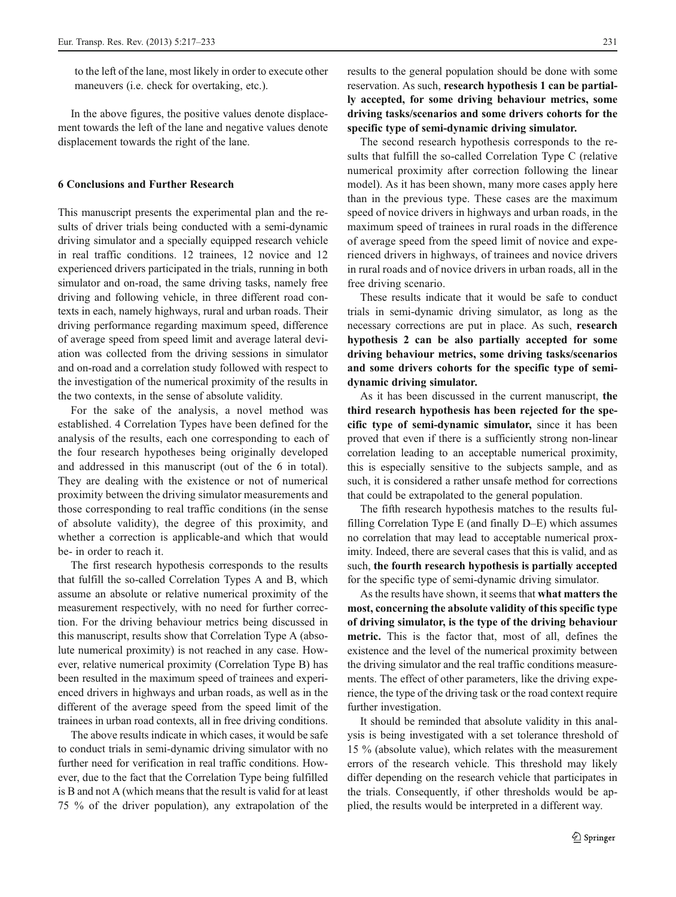<span id="page-14-0"></span>to the left of the lane, most likely in order to execute other maneuvers (i.e. check for overtaking, etc.).

In the above figures, the positive values denote displacement towards the left of the lane and negative values denote displacement towards the right of the lane.

## 6 Conclusions and Further Research

This manuscript presents the experimental plan and the results of driver trials being conducted with a semi-dynamic driving simulator and a specially equipped research vehicle in real traffic conditions. 12 trainees, 12 novice and 12 experienced drivers participated in the trials, running in both simulator and on-road, the same driving tasks, namely free driving and following vehicle, in three different road contexts in each, namely highways, rural and urban roads. Their driving performance regarding maximum speed, difference of average speed from speed limit and average lateral deviation was collected from the driving sessions in simulator and on-road and a correlation study followed with respect to the investigation of the numerical proximity of the results in the two contexts, in the sense of absolute validity.

For the sake of the analysis, a novel method was established. 4 Correlation Types have been defined for the analysis of the results, each one corresponding to each of the four research hypotheses being originally developed and addressed in this manuscript (out of the 6 in total). They are dealing with the existence or not of numerical proximity between the driving simulator measurements and those corresponding to real traffic conditions (in the sense of absolute validity), the degree of this proximity, and whether a correction is applicable-and which that would be- in order to reach it.

The first research hypothesis corresponds to the results that fulfill the so-called Correlation Types A and B, which assume an absolute or relative numerical proximity of the measurement respectively, with no need for further correction. For the driving behaviour metrics being discussed in this manuscript, results show that Correlation Type A (absolute numerical proximity) is not reached in any case. However, relative numerical proximity (Correlation Type B) has been resulted in the maximum speed of trainees and experienced drivers in highways and urban roads, as well as in the different of the average speed from the speed limit of the trainees in urban road contexts, all in free driving conditions.

The above results indicate in which cases, it would be safe to conduct trials in semi-dynamic driving simulator with no further need for verification in real traffic conditions. However, due to the fact that the Correlation Type being fulfilled is B and not A (which means that the result is valid for at least 75 % of the driver population), any extrapolation of the results to the general population should be done with some reservation. As such, research hypothesis 1 can be partially accepted, for some driving behaviour metrics, some driving tasks/scenarios and some drivers cohorts for the specific type of semi-dynamic driving simulator.

The second research hypothesis corresponds to the results that fulfill the so-called Correlation Type C (relative numerical proximity after correction following the linear model). As it has been shown, many more cases apply here than in the previous type. These cases are the maximum speed of novice drivers in highways and urban roads, in the maximum speed of trainees in rural roads in the difference of average speed from the speed limit of novice and experienced drivers in highways, of trainees and novice drivers in rural roads and of novice drivers in urban roads, all in the free driving scenario.

These results indicate that it would be safe to conduct trials in semi-dynamic driving simulator, as long as the necessary corrections are put in place. As such, research hypothesis 2 can be also partially accepted for some driving behaviour metrics, some driving tasks/scenarios and some drivers cohorts for the specific type of semidynamic driving simulator.

As it has been discussed in the current manuscript, the third research hypothesis has been rejected for the specific type of semi-dynamic simulator, since it has been proved that even if there is a sufficiently strong non-linear correlation leading to an acceptable numerical proximity, this is especially sensitive to the subjects sample, and as such, it is considered a rather unsafe method for corrections that could be extrapolated to the general population.

Τhe fifth research hypothesis matches to the results fulfilling Correlation Type E (and finally D–E) which assumes no correlation that may lead to acceptable numerical proximity. Indeed, there are several cases that this is valid, and as such, the fourth research hypothesis is partially accepted for the specific type of semi-dynamic driving simulator.

As the results have shown, it seems that what matters the most, concerning the absolute validity of this specific type of driving simulator, is the type of the driving behaviour metric. This is the factor that, most of all, defines the existence and the level of the numerical proximity between the driving simulator and the real traffic conditions measurements. The effect of other parameters, like the driving experience, the type of the driving task or the road context require further investigation.

It should be reminded that absolute validity in this analysis is being investigated with a set tolerance threshold of 15 % (absolute value), which relates with the measurement errors of the research vehicle. This threshold may likely differ depending on the research vehicle that participates in the trials. Consequently, if other thresholds would be applied, the results would be interpreted in a different way.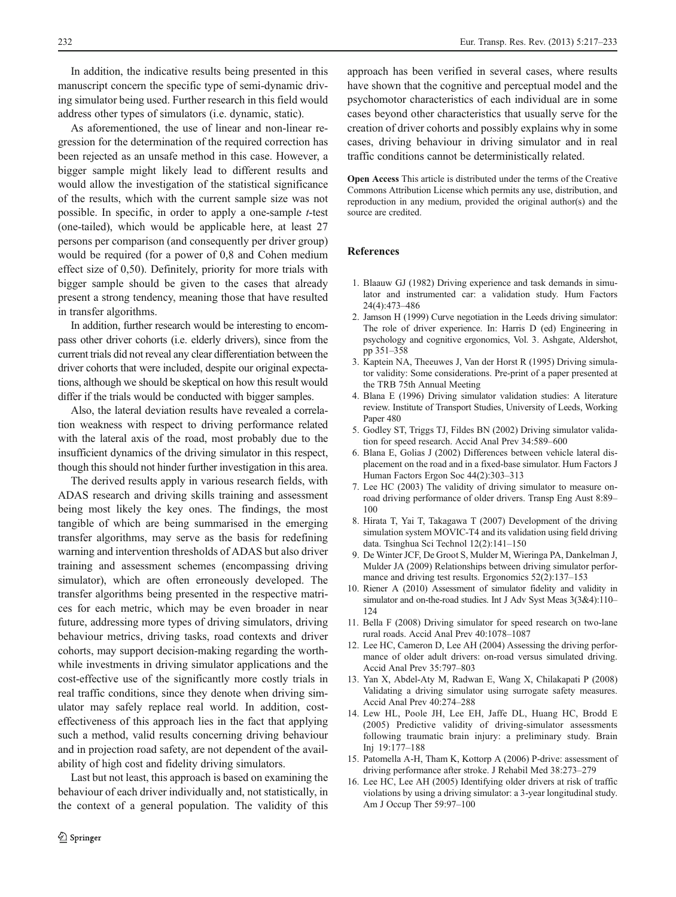<span id="page-15-0"></span>In addition, the indicative results being presented in this manuscript concern the specific type of semi-dynamic driving simulator being used. Further research in this field would address other types of simulators (i.e. dynamic, static).

As aforementioned, the use of linear and non-linear regression for the determination of the required correction has been rejected as an unsafe method in this case. However, a bigger sample might likely lead to different results and would allow the investigation of the statistical significance of the results, which with the current sample size was not possible. In specific, in order to apply a one-sample t-test (one-tailed), which would be applicable here, at least 27 persons per comparison (and consequently per driver group) would be required (for a power of 0,8 and Cohen medium effect size of 0,50). Definitely, priority for more trials with bigger sample should be given to the cases that already present a strong tendency, meaning those that have resulted in transfer algorithms.

In addition, further research would be interesting to encompass other driver cohorts (i.e. elderly drivers), since from the current trials did not reveal any clear differentiation between the driver cohorts that were included, despite our original expectations, although we should be skeptical on how this result would differ if the trials would be conducted with bigger samples.

Also, the lateral deviation results have revealed a correlation weakness with respect to driving performance related with the lateral axis of the road, most probably due to the insufficient dynamics of the driving simulator in this respect, though this should not hinder further investigation in this area.

The derived results apply in various research fields, with ADAS research and driving skills training and assessment being most likely the key ones. The findings, the most tangible of which are being summarised in the emerging transfer algorithms, may serve as the basis for redefining warning and intervention thresholds of ADAS but also driver training and assessment schemes (encompassing driving simulator), which are often erroneously developed. The transfer algorithms being presented in the respective matrices for each metric, which may be even broader in near future, addressing more types of driving simulators, driving behaviour metrics, driving tasks, road contexts and driver cohorts, may support decision-making regarding the worthwhile investments in driving simulator applications and the cost-effective use of the significantly more costly trials in real traffic conditions, since they denote when driving simulator may safely replace real world. In addition, costeffectiveness of this approach lies in the fact that applying such a method, valid results concerning driving behaviour and in projection road safety, are not dependent of the availability of high cost and fidelity driving simulators.

Last but not least, this approach is based on examining the behaviour of each driver individually and, not statistically, in the context of a general population. The validity of this

approach has been verified in several cases, where results have shown that the cognitive and perceptual model and the psychomotor characteristics of each individual are in some cases beyond other characteristics that usually serve for the creation of driver cohorts and possibly explains why in some cases, driving behaviour in driving simulator and in real traffic conditions cannot be deterministically related.

Open Access This article is distributed under the terms of the Creative Commons Attribution License which permits any use, distribution, and reproduction in any medium, provided the original author(s) and the source are credited.

#### References

- 1. Blaauw GJ (1982) Driving experience and task demands in simulator and instrumented car: a validation study. Hum Factors 24(4):473–486
- 2. Jamson H (1999) Curve negotiation in the Leeds driving simulator: The role of driver experience. In: Harris D (ed) Engineering in psychology and cognitive ergonomics, Vol. 3. Ashgate, Aldershot, pp 351–358
- 3. Kaptein NA, Theeuwes J, Van der Horst R (1995) Driving simulator validity: Some considerations. Pre-print of a paper presented at the TRB 75th Annual Meeting
- 4. Blana E (1996) Driving simulator validation studies: A literature review. Institute of Transport Studies, University of Leeds, Working Paper 480
- 5. Godley ST, Triggs TJ, Fildes BN (2002) Driving simulator validation for speed research. Accid Anal Prev 34:589–600
- 6. Blana E, Golias J (2002) Differences between vehicle lateral displacement on the road and in a fixed-base simulator. Hum Factors J Human Factors Ergon Soc 44(2):303–313
- 7. Lee HC (2003) The validity of driving simulator to measure onroad driving performance of older drivers. Transp Eng Aust 8:89– 100
- 8. Hirata T, Yai T, Takagawa T (2007) Development of the driving simulation system MOVIC-T4 and its validation using field driving data. Tsinghua Sci Technol 12(2):141–150
- 9. De Winter JCF, De Groot S, Mulder M, Wieringa PA, Dankelman J, Mulder JA (2009) Relationships between driving simulator performance and driving test results. Ergonomics 52(2):137–153
- 10. Riener A (2010) Assessment of simulator fidelity and validity in simulator and on-the-road studies. Int J Adv Syst Meas 3(3&4):110– 124
- 11. Bella F (2008) Driving simulator for speed research on two-lane rural roads. Accid Anal Prev 40:1078–1087
- 12. Lee HC, Cameron D, Lee AH (2004) Assessing the driving performance of older adult drivers: on-road versus simulated driving. Accid Anal Prev 35:797–803
- 13. Yan X, Abdel-Aty M, Radwan E, Wang X, Chilakapati P (2008) Validating a driving simulator using surrogate safety measures. Accid Anal Prev 40:274–288
- 14. Lew HL, Poole JH, Lee EH, Jaffe DL, Huang HC, Brodd E (2005) Predictive validity of driving-simulator assessments following traumatic brain injury: a preliminary study. Brain Inj 19:177–188
- 15. Patomella A-H, Tham K, Kottorp A (2006) P-drive: assessment of driving performance after stroke. J Rehabil Med 38:273–279
- 16. Lee HC, Lee AH (2005) Identifying older drivers at risk of traffic violations by using a driving simulator: a 3-year longitudinal study. Am J Occup Ther 59:97–100